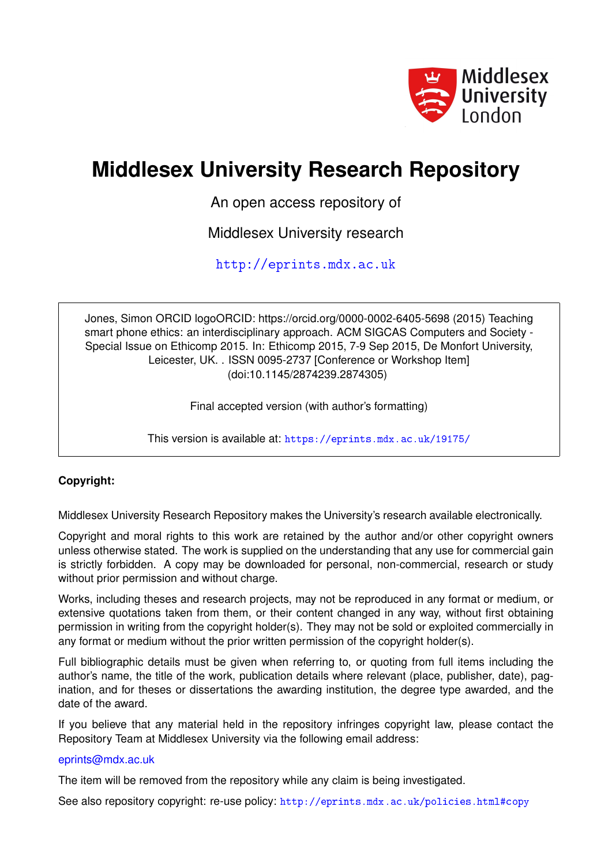

# **Middlesex University Research Repository**

An open access repository of

Middlesex University research

<http://eprints.mdx.ac.uk>

Jones, Simon ORCID logoORCID: https://orcid.org/0000-0002-6405-5698 (2015) Teaching smart phone ethics: an interdisciplinary approach. ACM SIGCAS Computers and Society - Special Issue on Ethicomp 2015. In: Ethicomp 2015, 7-9 Sep 2015, De Monfort University, Leicester, UK. . ISSN 0095-2737 [Conference or Workshop Item] (doi:10.1145/2874239.2874305)

Final accepted version (with author's formatting)

This version is available at: <https://eprints.mdx.ac.uk/19175/>

## **Copyright:**

Middlesex University Research Repository makes the University's research available electronically.

Copyright and moral rights to this work are retained by the author and/or other copyright owners unless otherwise stated. The work is supplied on the understanding that any use for commercial gain is strictly forbidden. A copy may be downloaded for personal, non-commercial, research or study without prior permission and without charge.

Works, including theses and research projects, may not be reproduced in any format or medium, or extensive quotations taken from them, or their content changed in any way, without first obtaining permission in writing from the copyright holder(s). They may not be sold or exploited commercially in any format or medium without the prior written permission of the copyright holder(s).

Full bibliographic details must be given when referring to, or quoting from full items including the author's name, the title of the work, publication details where relevant (place, publisher, date), pagination, and for theses or dissertations the awarding institution, the degree type awarded, and the date of the award.

If you believe that any material held in the repository infringes copyright law, please contact the Repository Team at Middlesex University via the following email address:

## [eprints@mdx.ac.uk](mailto:eprints@mdx.ac.uk)

The item will be removed from the repository while any claim is being investigated.

See also repository copyright: re-use policy: <http://eprints.mdx.ac.uk/policies.html#copy>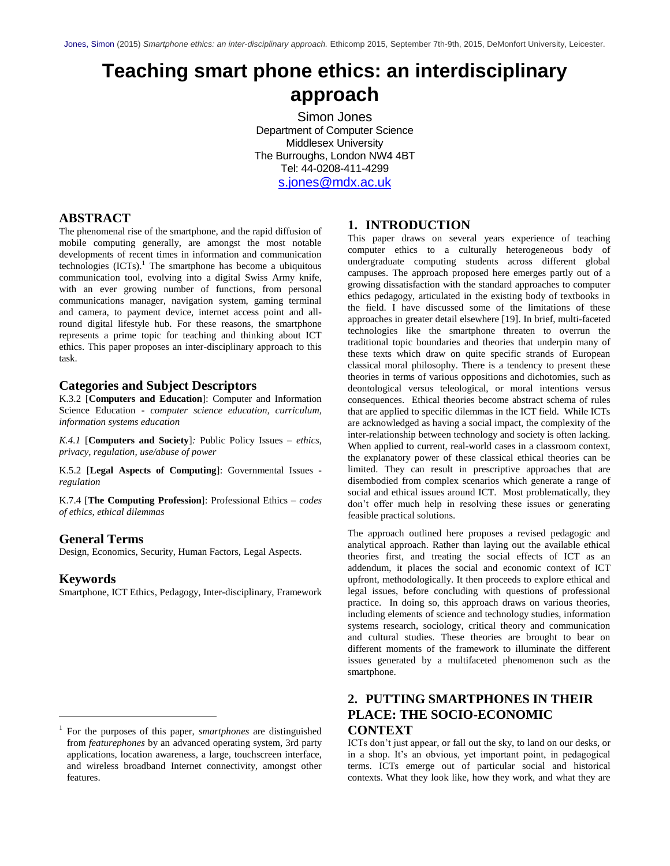## **Teaching smart phone ethics: an interdisciplinary approach**

Simon Jones Department of Computer Science Middlesex University The Burroughs, London NW4 4BT Tel: 44-0208-411-4299 [s.jones@mdx.ac.uk](mailto:s.jones@mdx.ac.uk)

## **ABSTRACT**

The phenomenal rise of the smartphone, and the rapid diffusion of mobile computing generally, are amongst the most notable developments of recent times in information and communication technologies  $(ICTs).<sup>1</sup>$  The smartphone has become a ubiquitous communication tool, evolving into a digital Swiss Army knife, with an ever growing number of functions, from personal communications manager, navigation system, gaming terminal and camera, to payment device, internet access point and allround digital lifestyle hub. For these reasons, the smartphone represents a prime topic for teaching and thinking about ICT ethics. This paper proposes an inter-disciplinary approach to this task.

## **Categories and Subject Descriptors**

K.3.2 [**Computers and Education**]: Computer and Information Science Education - *computer science education, curriculum, information systems education*

*K.4.1* [**Computers and Society**]*:* Public Policy Issues *– ethics, privacy, regulation, use/abuse of power* 

K.5.2 [**Legal Aspects of Computing**]: Governmental Issues *regulation*

K.7.4 [**The Computing Profession**]: Professional Ethics – *codes of ethics, ethical dilemmas*

#### **General Terms**

Design, Economics, Security, Human Factors, Legal Aspects.

## **Keywords**

 $\overline{a}$ 

Smartphone, ICT Ethics, Pedagogy, Inter-disciplinary, Framework

## **1. INTRODUCTION**

This paper draws on several years experience of teaching computer ethics to a culturally heterogeneous body of undergraduate computing students across different global campuses. The approach proposed here emerges partly out of a growing dissatisfaction with the standard approaches to computer ethics pedagogy, articulated in the existing body of textbooks in the field. I have discussed some of the limitations of these approaches in greater detail elsewhere [19]. In brief, multi-faceted technologies like the smartphone threaten to overrun the traditional topic boundaries and theories that underpin many of these texts which draw on quite specific strands of European classical moral philosophy. There is a tendency to present these theories in terms of various oppositions and dichotomies, such as deontological versus teleological, or moral intentions versus consequences. Ethical theories become abstract schema of rules that are applied to specific dilemmas in the ICT field. While ICTs are acknowledged as having a social impact, the complexity of the inter-relationship between technology and society is often lacking. When applied to current, real-world cases in a classroom context, the explanatory power of these classical ethical theories can be limited. They can result in prescriptive approaches that are disembodied from complex scenarios which generate a range of social and ethical issues around ICT. Most problematically, they don't offer much help in resolving these issues or generating feasible practical solutions.

The approach outlined here proposes a revised pedagogic and analytical approach. Rather than laying out the available ethical theories first, and treating the social effects of ICT as an addendum, it places the social and economic context of ICT upfront, methodologically. It then proceeds to explore ethical and legal issues, before concluding with questions of professional practice. In doing so, this approach draws on various theories, including elements of science and technology studies, information systems research, sociology, critical theory and communication and cultural studies. These theories are brought to bear on different moments of the framework to illuminate the different issues generated by a multifaceted phenomenon such as the smartphone.

## **2. PUTTING SMARTPHONES IN THEIR PLACE: THE SOCIO-ECONOMIC CONTEXT**

ICTs don't just appear, or fall out the sky, to land on our desks, or in a shop. It's an obvious, yet important point, in pedagogical terms. ICTs emerge out of particular social and historical contexts. What they look like, how they work, and what they are

<sup>1</sup>For the purposes of this paper, *smartphones* are distinguished from *featurephones* by an advanced operating system, 3rd party applications, location awareness, a large, touchscreen interface, and wireless broadband Internet connectivity, amongst other features.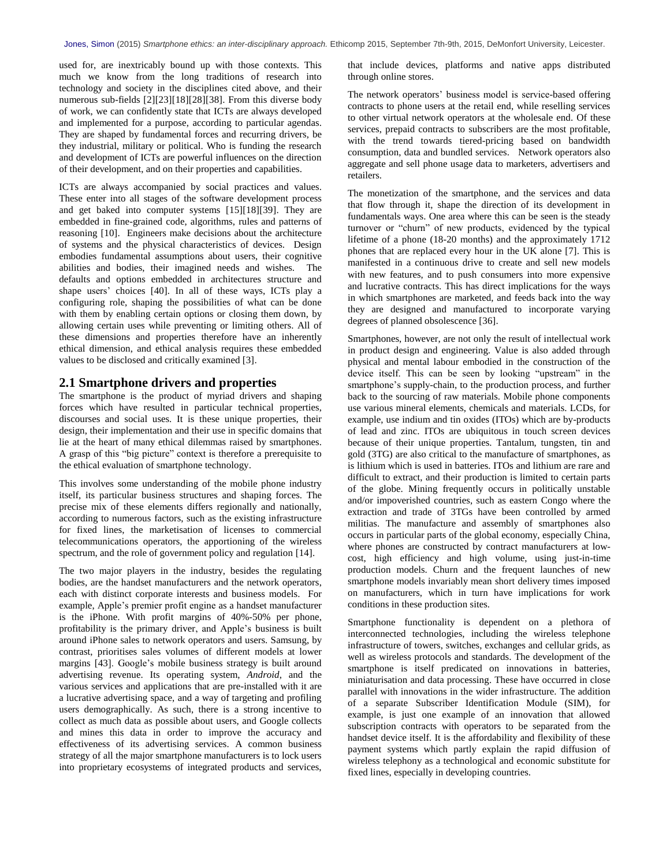used for, are inextricably bound up with those contexts. This much we know from the long traditions of research into technology and society in the disciplines cited above, and their numerous sub-fields [2][23][18][28][38]. From this diverse body of work, we can confidently state that ICTs are always developed and implemented for a purpose, according to particular agendas. They are shaped by fundamental forces and recurring drivers, be they industrial, military or political. Who is funding the research and development of ICTs are powerful influences on the direction of their development, and on their properties and capabilities.

ICTs are always accompanied by social practices and values. These enter into all stages of the software development process and get baked into computer systems [15][18][39]. They are embedded in fine-grained code, algorithms, rules and patterns of reasoning [10]. Engineers make decisions about the architecture of systems and the physical characteristics of devices. Design embodies fundamental assumptions about users, their cognitive abilities and bodies, their imagined needs and wishes. The defaults and options embedded in architectures structure and shape users' choices [40]. In all of these ways, ICTs play a configuring role, shaping the possibilities of what can be done with them by enabling certain options or closing them down, by allowing certain uses while preventing or limiting others. All of these dimensions and properties therefore have an inherently ethical dimension, and ethical analysis requires these embedded values to be disclosed and critically examined [3].

#### **2.1 Smartphone drivers and properties**

The smartphone is the product of myriad drivers and shaping forces which have resulted in particular technical properties, discourses and social uses. It is these unique properties, their design, their implementation and their use in specific domains that lie at the heart of many ethical dilemmas raised by smartphones. A grasp of this "big picture" context is therefore a prerequisite to the ethical evaluation of smartphone technology.

This involves some understanding of the mobile phone industry itself, its particular business structures and shaping forces. The precise mix of these elements differs regionally and nationally, according to numerous factors, such as the existing infrastructure for fixed lines, the marketisation of licenses to commercial telecommunications operators, the apportioning of the wireless spectrum, and the role of government policy and regulation [14].

The two major players in the industry, besides the regulating bodies, are the handset manufacturers and the network operators, each with distinct corporate interests and business models. For example, Apple's premier profit engine as a handset manufacturer is the iPhone. With profit margins of 40%-50% per phone, profitability is the primary driver, and Apple's business is built around iPhone sales to network operators and users. Samsung, by contrast, prioritises sales volumes of different models at lower margins [43]. Google's mobile business strategy is built around advertising revenue. Its operating system, *Android*, and the various services and applications that are pre-installed with it are a lucrative advertising space, and a way of targeting and profiling users demographically. As such, there is a strong incentive to collect as much data as possible about users, and Google collects and mines this data in order to improve the accuracy and effectiveness of its advertising services. A common business strategy of all the major smartphone manufacturers is to lock users into proprietary ecosystems of integrated products and services,

that include devices, platforms and native apps distributed through online stores.

The network operators' business model is service-based offering contracts to phone users at the retail end, while reselling services to other virtual network operators at the wholesale end. Of these services, prepaid contracts to subscribers are the most profitable, with the trend towards tiered-pricing based on bandwidth consumption, data and bundled services. Network operators also aggregate and sell phone usage data to marketers, advertisers and retailers.

The monetization of the smartphone, and the services and data that flow through it, shape the direction of its development in fundamentals ways. One area where this can be seen is the steady turnover or "churn" of new products, evidenced by the typical lifetime of a phone (18-20 months) and the approximately 1712 phones that are replaced every hour in the UK alone [7]. This is manifested in a continuous drive to create and sell new models with new features, and to push consumers into more expensive and lucrative contracts. This has direct implications for the ways in which smartphones are marketed, and feeds back into the way they are designed and manufactured to incorporate varying degrees of planned obsolescence [36].

Smartphones, however, are not only the result of intellectual work in product design and engineering. Value is also added through physical and mental labour embodied in the construction of the device itself. This can be seen by looking "upstream" in the smartphone's supply-chain, to the production process, and further back to the sourcing of raw materials. Mobile phone components use various mineral elements, chemicals and materials. LCDs, for example, use indium and tin oxides (ITOs) which are by-products of lead and zinc. ITOs are ubiquitous in touch screen devices because of their unique properties. Tantalum, tungsten, tin and gold (3TG) are also critical to the manufacture of smartphones, as is lithium which is used in batteries. ITOs and lithium are rare and difficult to extract, and their production is limited to certain parts of the globe. Mining frequently occurs in politically unstable and/or impoverished countries, such as eastern Congo where the extraction and trade of 3TGs have been controlled by armed militias. The manufacture and assembly of smartphones also occurs in particular parts of the global economy, especially China, where phones are constructed by contract manufacturers at lowcost, high efficiency and high volume, using just-in-time production models. Churn and the frequent launches of new smartphone models invariably mean short delivery times imposed on manufacturers, which in turn have implications for work conditions in these production sites.

Smartphone functionality is dependent on a plethora of interconnected technologies, including the wireless telephone infrastructure of towers, switches, exchanges and cellular grids, as well as wireless protocols and standards. The development of the smartphone is itself predicated on innovations in batteries, miniaturisation and data processing. These have occurred in close parallel with innovations in the wider infrastructure. The addition of a separate Subscriber Identification Module (SIM), for example, is just one example of an innovation that allowed subscription contracts with operators to be separated from the handset device itself. It is the affordability and flexibility of these payment systems which partly explain the rapid diffusion of wireless telephony as a technological and economic substitute for fixed lines, especially in developing countries.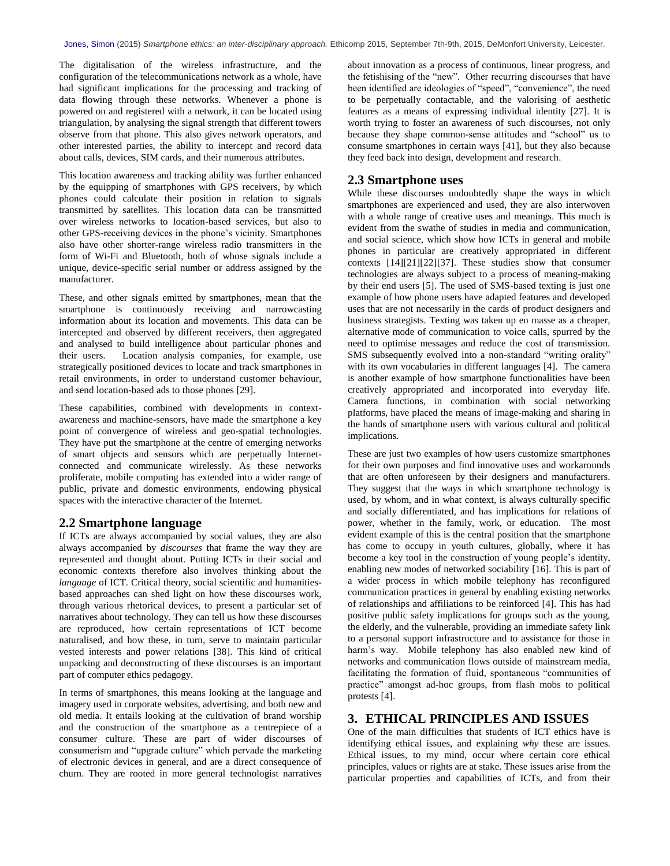The digitalisation of the wireless infrastructure, and the configuration of the telecommunications network as a whole, have had significant implications for the processing and tracking of data flowing through these networks. Whenever a phone is powered on and registered with a network, it can be located using triangulation, by analysing the signal strength that different towers observe from that phone. This also gives network operators, and other interested parties, the ability to intercept and record data about calls, devices, SIM cards, and their numerous attributes.

This location awareness and tracking ability was further enhanced by the equipping of smartphones with GPS receivers, by which phones could calculate their position in relation to signals transmitted by satellites. This location data can be transmitted over wireless networks to location-based services, but also to other GPS-receiving devices in the phone's vicinity. Smartphones also have other shorter-range wireless radio transmitters in the form of Wi-Fi and Bluetooth, both of whose signals include a unique, device-specific serial number or address assigned by the manufacturer.

These, and other signals emitted by smartphones, mean that the smartphone is continuously receiving and narrowcasting information about its location and movements. This data can be intercepted and observed by different receivers, then aggregated and analysed to build intelligence about particular phones and their users. Location analysis companies, for example, use strategically positioned devices to locate and track smartphones in retail environments, in order to understand customer behaviour, and send location-based ads to those phones [29].

These capabilities, combined with developments in contextawareness and machine-sensors, have made the smartphone a key point of convergence of wireless and geo-spatial technologies. They have put the smartphone at the centre of emerging networks of smart objects and sensors which are perpetually Internetconnected and communicate wirelessly. As these networks proliferate, mobile computing has extended into a wider range of public, private and domestic environments, endowing physical spaces with the interactive character of the Internet.

## **2.2 Smartphone language**

If ICTs are always accompanied by social values, they are also always accompanied by *discourses* that frame the way they are represented and thought about. Putting ICTs in their social and economic contexts therefore also involves thinking about the *language* of ICT. Critical theory, social scientific and humanitiesbased approaches can shed light on how these discourses work, through various rhetorical devices, to present a particular set of narratives about technology. They can tell us how these discourses are reproduced, how certain representations of ICT become naturalised, and how these, in turn, serve to maintain particular vested interests and power relations [38]. This kind of critical unpacking and deconstructing of these discourses is an important part of computer ethics pedagogy.

In terms of smartphones, this means looking at the language and imagery used in corporate websites, advertising, and both new and old media. It entails looking at the cultivation of brand worship and the construction of the smartphone as a centrepiece of a consumer culture. These are part of wider discourses of consumerism and "upgrade culture" which pervade the marketing of electronic devices in general, and are a direct consequence of churn. They are rooted in more general technologist narratives about innovation as a process of continuous, linear progress, and the fetishising of the "new". Other recurring discourses that have been identified are ideologies of "speed", "convenience", the need to be perpetually contactable, and the valorising of aesthetic features as a means of expressing individual identity [27]. It is worth trying to foster an awareness of such discourses, not only because they shape common-sense attitudes and "school" us to consume smartphones in certain ways [41], but they also because they feed back into design, development and research.

#### **2.3 Smartphone uses**

While these discourses undoubtedly shape the ways in which smartphones are experienced and used, they are also interwoven with a whole range of creative uses and meanings. This much is evident from the swathe of studies in media and communication, and social science, which show how ICTs in general and mobile phones in particular are creatively appropriated in different contexts [14][21][22][37]. These studies show that consumer technologies are always subject to a process of meaning-making by their end users [5]. The used of SMS-based texting is just one example of how phone users have adapted features and developed uses that are not necessarily in the cards of product designers and business strategists. Texting was taken up en masse as a cheaper, alternative mode of communication to voice calls, spurred by the need to optimise messages and reduce the cost of transmission. SMS subsequently evolved into a non-standard "writing orality" with its own vocabularies in different languages [4]. The camera is another example of how smartphone functionalities have been creatively appropriated and incorporated into everyday life. Camera functions, in combination with social networking platforms, have placed the means of image-making and sharing in the hands of smartphone users with various cultural and political implications.

These are just two examples of how users customize smartphones for their own purposes and find innovative uses and workarounds that are often unforeseen by their designers and manufacturers. They suggest that the ways in which smartphone technology is used, by whom, and in what context, is always culturally specific and socially differentiated, and has implications for relations of power, whether in the family, work, or education. The most evident example of this is the central position that the smartphone has come to occupy in youth cultures, globally, where it has become a key tool in the construction of young people's identity, enabling new modes of networked sociability [16]. This is part of a wider process in which mobile telephony has reconfigured communication practices in general by enabling existing networks of relationships and affiliations to be reinforced [4]. This has had positive public safety implications for groups such as the young, the elderly, and the vulnerable, providing an immediate safety link to a personal support infrastructure and to assistance for those in harm's way. Mobile telephony has also enabled new kind of networks and communication flows outside of mainstream media, facilitating the formation of fluid, spontaneous "communities of practice" amongst ad-hoc groups, from flash mobs to political protests [4].

#### **3. ETHICAL PRINCIPLES AND ISSUES**

One of the main difficulties that students of ICT ethics have is identifying ethical issues, and explaining *why* these are issues. Ethical issues, to my mind, occur where certain core ethical principles, values or rights are at stake. These issues arise from the particular properties and capabilities of ICTs, and from their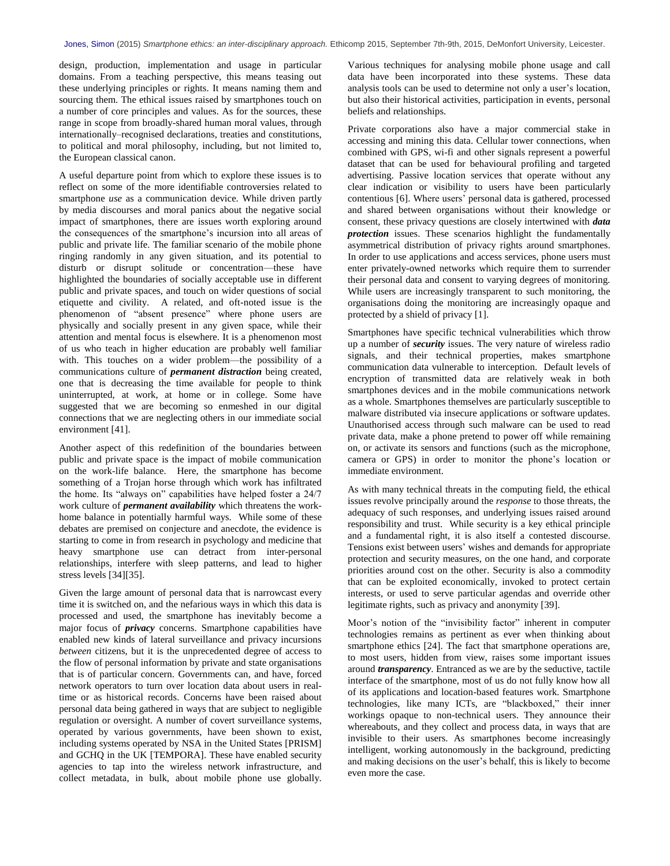design, production, implementation and usage in particular domains. From a teaching perspective, this means teasing out these underlying principles or rights. It means naming them and sourcing them. The ethical issues raised by smartphones touch on a number of core principles and values. As for the sources, these range in scope from broadly-shared human moral values, through internationally–recognised declarations, treaties and constitutions, to political and moral philosophy, including, but not limited to, the European classical canon.

A useful departure point from which to explore these issues is to reflect on some of the more identifiable controversies related to smartphone *use* as a communication device. While driven partly by media discourses and moral panics about the negative social impact of smartphones, there are issues worth exploring around the consequences of the smartphone's incursion into all areas of public and private life. The familiar scenario of the mobile phone ringing randomly in any given situation, and its potential to disturb or disrupt solitude or concentration—these have highlighted the boundaries of socially acceptable use in different public and private spaces, and touch on wider questions of social etiquette and civility. A related, and oft-noted issue is the phenomenon of "absent presence" where phone users are physically and socially present in any given space, while their attention and mental focus is elsewhere. It is a phenomenon most of us who teach in higher education are probably well familiar with. This touches on a wider problem—the possibility of a communications culture of *permanent distraction* being created, one that is decreasing the time available for people to think uninterrupted, at work, at home or in college. Some have suggested that we are becoming so enmeshed in our digital connections that we are neglecting others in our immediate social environment [41].

Another aspect of this redefinition of the boundaries between public and private space is the impact of mobile communication on the work-life balance. Here, the smartphone has become something of a Trojan horse through which work has infiltrated the home. Its "always on" capabilities have helped foster a 24/7 work culture of *permanent availability* which threatens the workhome balance in potentially harmful ways. While some of these debates are premised on conjecture and anecdote, the evidence is starting to come in from research in psychology and medicine that heavy smartphone use can detract from inter-personal relationships, interfere with sleep patterns, and lead to higher stress levels [34][35].

Given the large amount of personal data that is narrowcast every time it is switched on, and the nefarious ways in which this data is processed and used, the smartphone has inevitably become a major focus of *privacy* concerns. Smartphone capabilities have enabled new kinds of lateral surveillance and privacy incursions *between* citizens, but it is the unprecedented degree of access to the flow of personal information by private and state organisations that is of particular concern. Governments can, and have, forced network operators to turn over location data about users in realtime or as historical records. Concerns have been raised about personal data being gathered in ways that are subject to negligible regulation or oversight. A number of covert surveillance systems, operated by various governments, have been shown to exist, including systems operated by NSA in the United States [PRISM] and GCHQ in the UK [TEMPORA]. These have enabled security agencies to tap into the wireless network infrastructure, and collect metadata, in bulk, about mobile phone use globally.

Various techniques for analysing mobile phone usage and call data have been incorporated into these systems. These data analysis tools can be used to determine not only a user's location, but also their historical activities, participation in events, personal beliefs and relationships.

Private corporations also have a major commercial stake in accessing and mining this data. Cellular tower connections, when combined with GPS, wi-fi and other signals represent a powerful dataset that can be used for behavioural profiling and targeted advertising. Passive location services that operate without any clear indication or visibility to users have been particularly contentious [6]. Where users' personal data is gathered, processed and shared between organisations without their knowledge or consent, these privacy questions are closely intertwined with *data protection* issues. These scenarios highlight the fundamentally asymmetrical distribution of privacy rights around smartphones. In order to use applications and access services, phone users must enter privately-owned networks which require them to surrender their personal data and consent to varying degrees of monitoring. While users are increasingly transparent to such monitoring, the organisations doing the monitoring are increasingly opaque and protected by a shield of privacy [1].

Smartphones have specific technical vulnerabilities which throw up a number of *security* issues. The very nature of wireless radio signals, and their technical properties, makes smartphone communication data vulnerable to interception. Default levels of encryption of transmitted data are relatively weak in both smartphones devices and in the mobile communications network as a whole. Smartphones themselves are particularly susceptible to malware distributed via insecure applications or software updates. Unauthorised access through such malware can be used to read private data, make a phone pretend to power off while remaining on, or activate its sensors and functions (such as the microphone, camera or GPS) in order to monitor the phone's location or immediate environment.

As with many technical threats in the computing field, the ethical issues revolve principally around the *response* to those threats, the adequacy of such responses, and underlying issues raised around responsibility and trust. While security is a key ethical principle and a fundamental right, it is also itself a contested discourse. Tensions exist between users' wishes and demands for appropriate protection and security measures, on the one hand, and corporate priorities around cost on the other. Security is also a commodity that can be exploited economically, invoked to protect certain interests, or used to serve particular agendas and override other legitimate rights, such as privacy and anonymity [39].

Moor's notion of the "invisibility factor" inherent in computer technologies remains as pertinent as ever when thinking about smartphone ethics [24]. The fact that smartphone operations are, to most users, hidden from view, raises some important issues around *transparency*. Entranced as we are by the seductive, tactile interface of the smartphone, most of us do not fully know how all of its applications and location-based features work. Smartphone technologies, like many ICTs, are "blackboxed," their inner workings opaque to non-technical users. They announce their whereabouts, and they collect and process data, in ways that are invisible to their users. As smartphones become increasingly intelligent, working autonomously in the background, predicting and making decisions on the user's behalf, this is likely to become even more the case.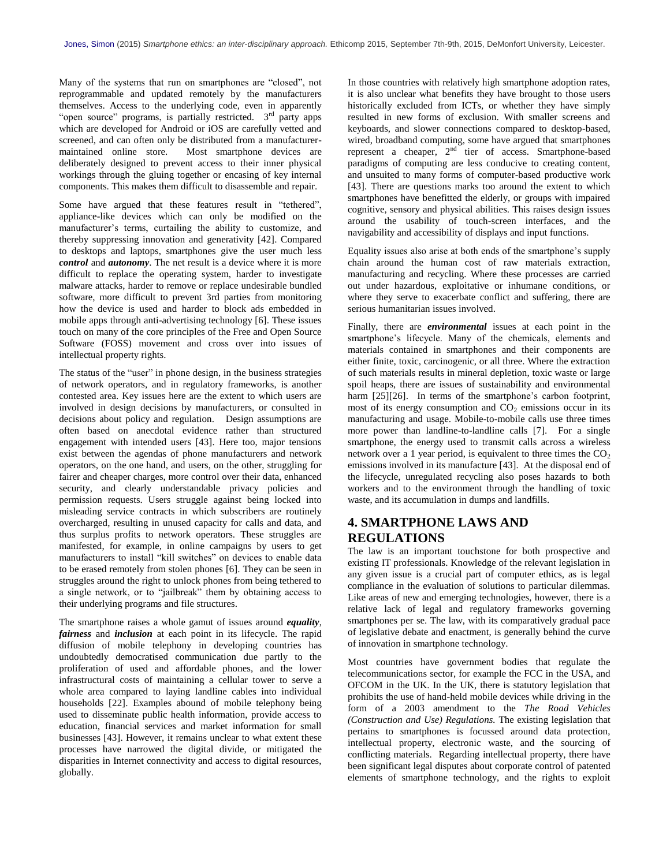Many of the systems that run on smartphones are "closed", not reprogrammable and updated remotely by the manufacturers themselves. Access to the underlying code, even in apparently "open source" programs, is partially restricted. 3<sup>rd</sup> party apps which are developed for Android or iOS are carefully vetted and screened, and can often only be distributed from a manufacturermaintained online store. Most smartphone devices are deliberately designed to prevent access to their inner physical workings through the gluing together or encasing of key internal components. This makes them difficult to disassemble and repair.

Some have argued that these features result in "tethered", appliance-like devices which can only be modified on the manufacturer's terms, curtailing the ability to customize, and thereby suppressing innovation and generativity [42]. Compared to desktops and laptops, smartphones give the user much less *control* and *autonomy*. The net result is a device where it is more difficult to replace the operating system, harder to investigate malware attacks, harder to remove or replace undesirable bundled software, more difficult to prevent 3rd parties from monitoring how the device is used and harder to block ads embedded in mobile apps through anti-advertising technology [6]. These issues touch on many of the core principles of the Free and Open Source Software (FOSS) movement and cross over into issues of intellectual property rights.

The status of the "user" in phone design, in the business strategies of network operators, and in regulatory frameworks, is another contested area. Key issues here are the extent to which users are involved in design decisions by manufacturers, or consulted in decisions about policy and regulation. Design assumptions are often based on anecdotal evidence rather than structured engagement with intended users [43]. Here too, major tensions exist between the agendas of phone manufacturers and network operators, on the one hand, and users, on the other, struggling for fairer and cheaper charges, more control over their data, enhanced security, and clearly understandable privacy policies and permission requests. Users struggle against being locked into misleading service contracts in which subscribers are routinely overcharged, resulting in unused capacity for calls and data, and thus surplus profits to network operators. These struggles are manifested, for example, in online campaigns by users to get manufacturers to install "kill switches" on devices to enable data to be erased remotely from stolen phones [6]. They can be seen in struggles around the right to unlock phones from being tethered to a single network, or to "jailbreak" them by obtaining access to their underlying programs and file structures.

The smartphone raises a whole gamut of issues around *equality*, *fairness* and *inclusion* at each point in its lifecycle. The rapid diffusion of mobile telephony in developing countries has undoubtedly democratised communication due partly to the proliferation of used and affordable phones, and the lower infrastructural costs of maintaining a cellular tower to serve a whole area compared to laying landline cables into individual households [22]. Examples abound of mobile telephony being used to disseminate public health information, provide access to education, financial services and market information for small businesses [43]. However, it remains unclear to what extent these processes have narrowed the digital divide, or mitigated the disparities in Internet connectivity and access to digital resources, globally.

In those countries with relatively high smartphone adoption rates, it is also unclear what benefits they have brought to those users historically excluded from ICTs, or whether they have simply resulted in new forms of exclusion. With smaller screens and keyboards, and slower connections compared to desktop-based, wired, broadband computing, some have argued that smartphones represent a cheaper,  $2<sup>nd</sup>$  tier of access. Smartphone-based paradigms of computing are less conducive to creating content, and unsuited to many forms of computer-based productive work [43]. There are questions marks too around the extent to which smartphones have benefitted the elderly, or groups with impaired cognitive, sensory and physical abilities. This raises design issues around the usability of touch-screen interfaces, and the navigability and accessibility of displays and input functions.

Equality issues also arise at both ends of the smartphone's supply chain around the human cost of raw materials extraction, manufacturing and recycling. Where these processes are carried out under hazardous, exploitative or inhumane conditions, or where they serve to exacerbate conflict and suffering, there are serious humanitarian issues involved.

Finally, there are *environmental* issues at each point in the smartphone's lifecycle. Many of the chemicals, elements and materials contained in smartphones and their components are either finite, toxic, carcinogenic, or all three. Where the extraction of such materials results in mineral depletion, toxic waste or large spoil heaps, there are issues of sustainability and environmental harm [25][26]. In terms of the smartphone's carbon footprint, most of its energy consumption and  $CO<sub>2</sub>$  emissions occur in its manufacturing and usage. Mobile-to-mobile calls use three times more power than landline-to-landline calls [7]. For a single smartphone, the energy used to transmit calls across a wireless network over a 1 year period, is equivalent to three times the  $CO<sub>2</sub>$ emissions involved in its manufacture [43]. At the disposal end of the lifecycle, unregulated recycling also poses hazards to both workers and to the environment through the handling of toxic waste, and its accumulation in dumps and landfills.

## **4. SMARTPHONE LAWS AND REGULATIONS**

The law is an important touchstone for both prospective and existing IT professionals. Knowledge of the relevant legislation in any given issue is a crucial part of computer ethics, as is legal compliance in the evaluation of solutions to particular dilemmas. Like areas of new and emerging technologies, however, there is a relative lack of legal and regulatory frameworks governing smartphones per se. The law, with its comparatively gradual pace of legislative debate and enactment, is generally behind the curve of innovation in smartphone technology.

Most countries have government bodies that regulate the telecommunications sector, for example the FCC in the USA, and OFCOM in the UK. In the UK, there is statutory legislation that prohibits the use of hand-held mobile devices while driving in the form of a 2003 amendment to the *The Road Vehicles (Construction and Use) Regulations.* The existing legislation that pertains to smartphones is focussed around data protection, intellectual property, electronic waste, and the sourcing of conflicting materials. Regarding intellectual property, there have been significant legal disputes about corporate control of patented elements of smartphone technology, and the rights to exploit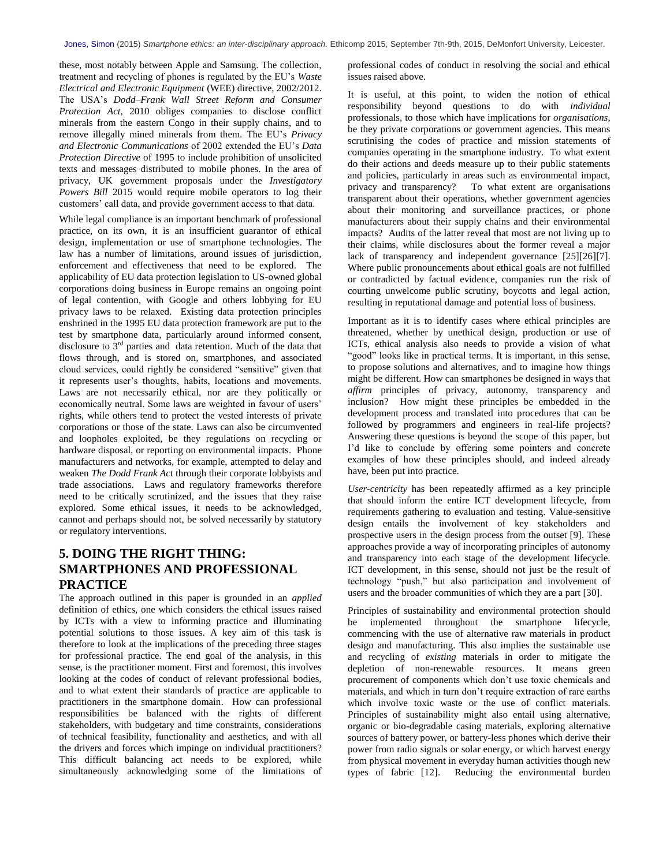these, most notably between Apple and Samsung. The collection, treatment and recycling of phones is regulated by the EU's *Waste Electrical and Electronic Equipment* (WEE) directive, 2002/2012. The USA's *Dodd–Frank Wall Street Reform and Consumer Protection Act*, 2010 obliges companies to disclose conflict minerals from the eastern Congo in their supply chains, and to remove illegally mined minerals from them. The EU's *Privacy and Electronic Communications* of 2002 extended the EU's *Data Protection Directive* of 1995 to include prohibition of unsolicited texts and messages distributed to mobile phones. In the area of privacy, UK government proposals under the *Investigatory Powers Bill* 2015 would require mobile operators to log their customers' call data, and provide government access to that data.

While legal compliance is an important benchmark of professional practice, on its own, it is an insufficient guarantor of ethical design, implementation or use of smartphone technologies. The law has a number of limitations, around issues of jurisdiction, enforcement and effectiveness that need to be explored. The applicability of EU data protection legislation to US-owned global corporations doing business in Europe remains an ongoing point of legal contention, with Google and others lobbying for EU privacy laws to be relaxed. Existing data protection principles enshrined in the 1995 EU data protection framework are put to the test by smartphone data, particularly around informed consent, disclosure to  $3<sup>rd</sup>$  parties and data retention. Much of the data that flows through, and is stored on, smartphones, and associated cloud services, could rightly be considered "sensitive" given that it represents user's thoughts, habits, locations and movements. Laws are not necessarily ethical, nor are they politically or economically neutral. Some laws are weighted in favour of users' rights, while others tend to protect the vested interests of private corporations or those of the state. Laws can also be circumvented and loopholes exploited, be they regulations on recycling or hardware disposal, or reporting on environmental impacts. Phone manufacturers and networks, for example, attempted to delay and weaken *The Dodd Frank Ac*t through their corporate lobbyists and trade associations. Laws and regulatory frameworks therefore need to be critically scrutinized, and the issues that they raise explored. Some ethical issues, it needs to be acknowledged, cannot and perhaps should not, be solved necessarily by statutory or regulatory interventions.

## **5. DOING THE RIGHT THING: SMARTPHONES AND PROFESSIONAL PRACTICE**

The approach outlined in this paper is grounded in an *applied* definition of ethics, one which considers the ethical issues raised by ICTs with a view to informing practice and illuminating potential solutions to those issues. A key aim of this task is therefore to look at the implications of the preceding three stages for professional practice. The end goal of the analysis, in this sense, is the practitioner moment. First and foremost, this involves looking at the codes of conduct of relevant professional bodies, and to what extent their standards of practice are applicable to practitioners in the smartphone domain. How can professional responsibilities be balanced with the rights of different stakeholders, with budgetary and time constraints, considerations of technical feasibility, functionality and aesthetics, and with all the drivers and forces which impinge on individual practitioners? This difficult balancing act needs to be explored, while simultaneously acknowledging some of the limitations of professional codes of conduct in resolving the social and ethical issues raised above.

It is useful, at this point, to widen the notion of ethical responsibility beyond questions to do with *individual* professionals, to those which have implications for *organisations*, be they private corporations or government agencies. This means scrutinising the codes of practice and mission statements of companies operating in the smartphone industry. To what extent do their actions and deeds measure up to their public statements and policies, particularly in areas such as environmental impact, privacy and transparency? To what extent are organisations transparent about their operations, whether government agencies about their monitoring and surveillance practices, or phone manufacturers about their supply chains and their environmental impacts? Audits of the latter reveal that most are not living up to their claims, while disclosures about the former reveal a major lack of transparency and independent governance [25][26][7]. Where public pronouncements about ethical goals are not fulfilled or contradicted by factual evidence, companies run the risk of courting unwelcome public scrutiny, boycotts and legal action, resulting in reputational damage and potential loss of business.

Important as it is to identify cases where ethical principles are threatened, whether by unethical design, production or use of ICTs, ethical analysis also needs to provide a vision of what "good" looks like in practical terms. It is important, in this sense, to propose solutions and alternatives, and to imagine how things might be different. How can smartphones be designed in ways that *affirm* principles of privacy, autonomy, transparency and inclusion? How might these principles be embedded in the development process and translated into procedures that can be followed by programmers and engineers in real-life projects? Answering these questions is beyond the scope of this paper, but I'd like to conclude by offering some pointers and concrete examples of how these principles should, and indeed already have, been put into practice.

*User-centricity* has been repeatedly affirmed as a key principle that should inform the entire ICT development lifecycle, from requirements gathering to evaluation and testing. Value-sensitive design entails the involvement of key stakeholders and prospective users in the design process from the outset [9]. These approaches provide a way of incorporating principles of autonomy and transparency into each stage of the development lifecycle. ICT development, in this sense, should not just be the result of technology "push," but also participation and involvement of users and the broader communities of which they are a part [30].

Principles of sustainability and environmental protection should be implemented throughout the smartphone lifecycle, commencing with the use of alternative raw materials in product design and manufacturing. This also implies the sustainable use and recycling of *existing* materials in order to mitigate the depletion of non-renewable resources. It means green procurement of components which don't use toxic chemicals and materials, and which in turn don't require extraction of rare earths which involve toxic waste or the use of conflict materials. Principles of sustainability might also entail using alternative, organic or bio-degradable casing materials, exploring alternative sources of battery power, or battery-less phones which derive their power from radio signals or solar energy, or which harvest energy from physical movement in everyday human activities though new types of fabric [12]. Reducing the environmental burden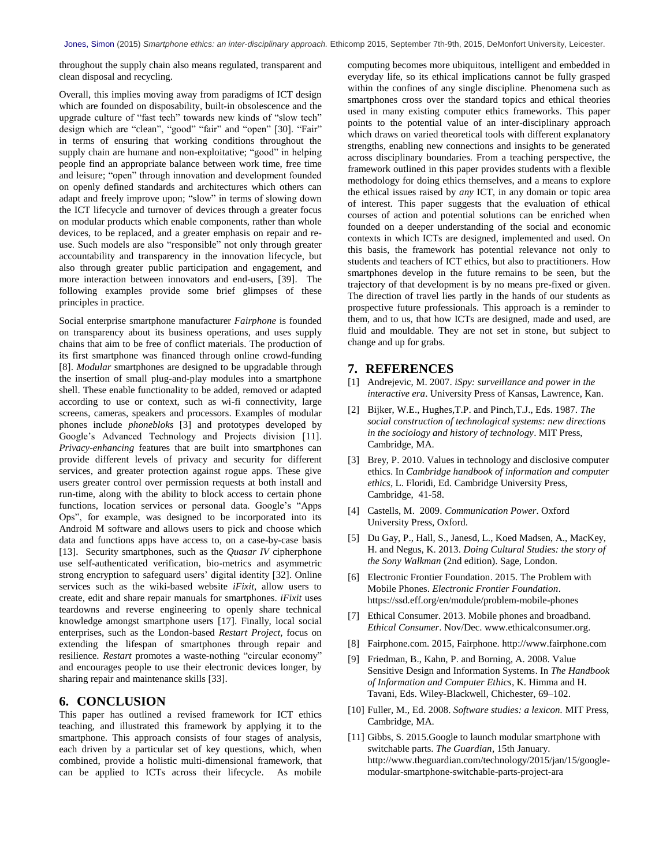throughout the supply chain also means regulated, transparent and clean disposal and recycling.

Overall, this implies moving away from paradigms of ICT design which are founded on disposability, built-in obsolescence and the upgrade culture of "fast tech" towards new kinds of "slow tech" design which are "clean", "good" "fair" and "open" [30]. "Fair" in terms of ensuring that working conditions throughout the supply chain are humane and non-exploitative; "good" in helping people find an appropriate balance between work time, free time and leisure; "open" through innovation and development founded on openly defined standards and architectures which others can adapt and freely improve upon; "slow" in terms of slowing down the ICT lifecycle and turnover of devices through a greater focus on modular products which enable components, rather than whole devices, to be replaced, and a greater emphasis on repair and reuse. Such models are also "responsible" not only through greater accountability and transparency in the innovation lifecycle, but also through greater public participation and engagement, and more interaction between innovators and end-users, [39]. The following examples provide some brief glimpses of these principles in practice.

Social enterprise smartphone manufacturer *Fairphone* is founded on transparency about its business operations, and uses supply chains that aim to be free of conflict materials. The production of its first smartphone was financed through online crowd-funding [8]. *Modular* smartphones are designed to be upgradable through the insertion of small plug-and-play modules into a smartphone shell. These enable functionality to be added, removed or adapted according to use or context, such as wi-fi connectivity, large screens, cameras, speakers and processors. Examples of modular phones include *phonebloks* [3] and prototypes developed by Google's Advanced Technology and Projects division [11]. *Privacy-enhancing* features that are built into smartphones can provide different levels of privacy and security for different services, and greater protection against rogue apps. These give users greater control over permission requests at both install and run-time, along with the ability to block access to certain phone functions, location services or personal data. Google's "Apps Ops", for example, was designed to be incorporated into its Android M software and allows users to pick and choose which data and functions apps have access to, on a case-by-case basis [13]. Security smartphones, such as the *Quasar IV* cipherphone use self-authenticated verification, bio-metrics and asymmetric strong encryption to safeguard users' digital identity [32]. Online services such as the wiki-based website *iFixit*, allow users to create, edit and share repair manuals for smartphones. *iFixit* uses teardowns and reverse engineering to openly share technical knowledge amongst smartphone users [17]. Finally, local social enterprises, such as the London-based *Restart Project,* focus on extending the lifespan of smartphones through repair and resilience. *Restart* promotes a waste-nothing "circular economy" and encourages people to use their electronic devices longer, by sharing repair and maintenance skills [33].

## **6. CONCLUSION**

This paper has outlined a revised framework for ICT ethics teaching, and illustrated this framework by applying it to the smartphone. This approach consists of four stages of analysis, each driven by a particular set of key questions, which, when combined, provide a holistic multi-dimensional framework, that can be applied to ICTs across their lifecycle. As mobile

computing becomes more ubiquitous, intelligent and embedded in everyday life, so its ethical implications cannot be fully grasped within the confines of any single discipline. Phenomena such as smartphones cross over the standard topics and ethical theories used in many existing computer ethics frameworks. This paper points to the potential value of an inter-disciplinary approach which draws on varied theoretical tools with different explanatory strengths, enabling new connections and insights to be generated across disciplinary boundaries. From a teaching perspective, the framework outlined in this paper provides students with a flexible methodology for doing ethics themselves, and a means to explore the ethical issues raised by *any* ICT, in any domain or topic area of interest. This paper suggests that the evaluation of ethical courses of action and potential solutions can be enriched when founded on a deeper understanding of the social and economic contexts in which ICTs are designed, implemented and used. On this basis, the framework has potential relevance not only to students and teachers of ICT ethics, but also to practitioners. How smartphones develop in the future remains to be seen, but the trajectory of that development is by no means pre-fixed or given. The direction of travel lies partly in the hands of our students as prospective future professionals. This approach is a reminder to them, and to us, that how ICTs are designed, made and used, are fluid and mouldable. They are not set in stone, but subject to change and up for grabs.

## **7. REFERENCES**

- [1] Andrejevic, M. 2007. *iSpy: surveillance and power in the interactive era*. University Press of Kansas, Lawrence, Kan.
- [2] Bijker, W.E., Hughes,T.P. and Pinch,T.J., Eds. 1987. *The social construction of technological systems: new directions in the sociology and history of technology*. MIT Press, Cambridge, MA.
- [3] Brey, P. 2010. Values in technology and disclosive computer ethics. In *Cambridge handbook of information and computer ethics*, L. Floridi, Ed. Cambridge University Press, Cambridge, 41-58.
- [4] Castells, M. 2009. *Communication Power*. Oxford University Press, Oxford.
- [5] Du Gay, P., Hall, S., Janesd, L., Koed Madsen, A., MacKey, H. and Negus, K. 2013. *Doing Cultural Studies: the story of the Sony Walkman* (2nd edition). Sage, London.
- [6] Electronic Frontier Foundation. 2015. The Problem with Mobile Phones. *Electronic Frontier Foundation*. <https://ssd.eff.org/en/module/problem-mobile-phones>
- [7] Ethical Consumer. 2013. Mobile phones and broadband. *Ethical Consumer*. Nov/Dec. [www.ethicalconsumer.org.](http://www.ethicalconsumer.org/)
- [8] Fairphone.com. 2015, Fairphone. [http://www.fairphone.com](http://www.fairphone.com/)
- [9] Friedman, B., Kahn, P. and Borning, A. 2008. Value Sensitive Design and Information Systems. In *The Handbook of Information and Computer Ethics*, K. Himma and H. Tavani, Eds. Wiley-Blackwell, Chichester, 69–102.
- [10] Fuller, M., Ed. 2008. *Software studies: a lexicon.* MIT Press, Cambridge, MA.
- [11] Gibbs, S. 2015. Google to launch modular smartphone with switchable parts. *The Guardian*, 15th January. http://www.theguardian.com/technology/2015/jan/15/googlemodular-smartphone-switchable-parts-project-ara